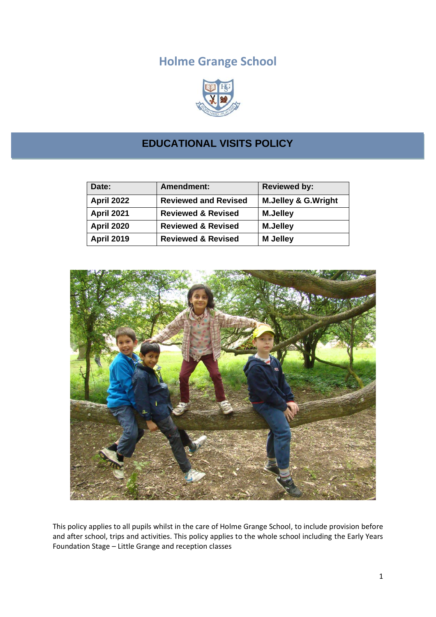# **Holme Grange School**



# **EDUCATIONAL VISITS POLICY**

| Date:             | <b>Amendment:</b>             | <b>Reviewed by:</b>            |
|-------------------|-------------------------------|--------------------------------|
| <b>April 2022</b> | <b>Reviewed and Revised</b>   | <b>M.Jelley &amp; G.Wright</b> |
| April 2021        | <b>Reviewed &amp; Revised</b> | <b>M.Jelley</b>                |
| <b>April 2020</b> | <b>Reviewed &amp; Revised</b> | <b>M.Jelley</b>                |
| <b>April 2019</b> | <b>Reviewed &amp; Revised</b> | <b>M</b> Jelley                |



This policy applies to all pupils whilst in the care of Holme Grange School, to include provision before and after school, trips and activities. This policy applies to the whole school including the Early Years Foundation Stage – Little Grange and reception classes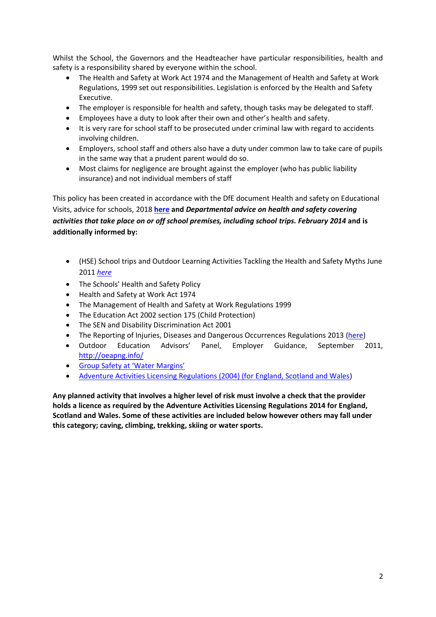Whilst the School, the Governors and the Headteacher have particular responsibilities, health and safety is a responsibility shared by everyone within the school.

- The Health and Safety at Work Act 1974 and the Management of Health and Safety at Work Regulations, 1999 set out responsibilities. Legislation is enforced by the Health and Safety Executive.
- The employer is responsible for health and safety, though tasks may be delegated to staff.
- Employees have a duty to look after their own and other's health and safety.
- It is very rare for school staff to be prosecuted under criminal law with regard to accidents involving children.
- Employers, school staff and others also have a duty under common law to take care of pupils in the same way that a prudent parent would do so.
- Most claims for negligence are brought against the employer (who has public liability insurance) and not individual members of staff

This policy has been created in accordance with the DfE document Health and safety on Educational Visits, advice for schools, 2018 **[here](https://www.gov.uk/government/publications/health-and-safety-on-educational-visits/health-and-safety-on-educational-visits) and** *Departmental advice on health and safety covering activities that take place on or off school premises, including school trips. February 2014* **and is additionally informed by:** 

- (HSE) School trips and Outdoor Learning Activities Tackling the Health and Safety Myths June 2011 *[here](http://www.hse.gov.uk/services/education/school-trips.pdf)*
- The Schools' Health and Safety Policy
- Health and Safety at Work Act 1974
- The Management of Health and Safety at Work Regulations 1999
- The Education Act 2002 section 175 (Child Protection)
- The SEN and Disability Discrimination Act 2001
- The Reporting of Injuries, Diseases and Dangerous Occurrences Regulations 2013 [\(here\)](http://www.hse.gov.uk/pubns/indg453.htm)
- Outdoor Education Advisors' Panel, Employer Guidance, September 2011, <http://oeapng.info/>
- [Group Safety at 'Water Margins'](https://oeapng.info/downloads/download-info/7i-group-safety-at-water-margins/)
- [Adventure Activities Licensing Regulations \(2004\) \(for England, Scotland and Wales\)](http://www.legislation.gov.uk/uksi/2004/1309/made)

**Any planned activity that involves a higher level of risk must involve a check that the provider holds a licence as required by the Adventure Activities Licensing Regulations 2014 for England, Scotland and Wales. Some of these activities are included below however others may fall under this category; caving, climbing, trekking, skiing or water sports.**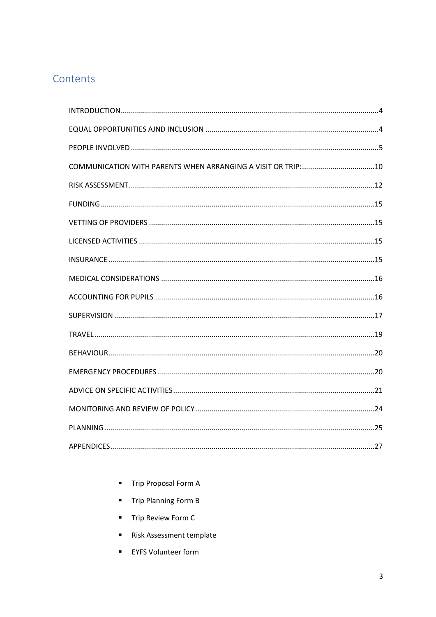# Contents

- Trip Proposal Form A
- Trip Planning Form B
- Trip Review Form C
- Risk Assessment template
- **EYFS Volunteer form**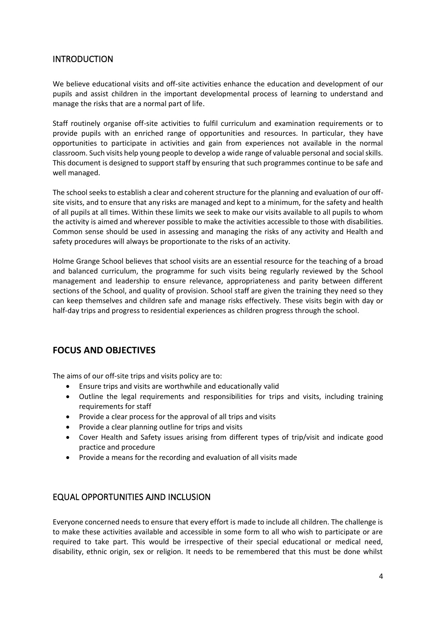## <span id="page-3-0"></span>**INTRODUCTION**

We believe educational visits and off-site activities enhance the education and development of our pupils and assist children in the important developmental process of learning to understand and manage the risks that are a normal part of life.

Staff routinely organise off-site activities to fulfil curriculum and examination requirements or to provide pupils with an enriched range of opportunities and resources. In particular, they have opportunities to participate in activities and gain from experiences not available in the normal classroom. Such visits help young people to develop a wide range of valuable personal and social skills. This document is designed to support staff by ensuring that such programmes continue to be safe and well managed.

The school seeks to establish a clear and coherent structure for the planning and evaluation of our offsite visits, and to ensure that any risks are managed and kept to a minimum, for the safety and health of all pupils at all times. Within these limits we seek to make our visits available to all pupils to whom the activity is aimed and wherever possible to make the activities accessible to those with disabilities. Common sense should be used in assessing and managing the risks of any activity and Health and safety procedures will always be proportionate to the risks of an activity.

Holme Grange School believes that school visits are an essential resource for the teaching of a broad and balanced curriculum, the programme for such visits being regularly reviewed by the School management and leadership to ensure relevance, appropriateness and parity between different sections of the School, and quality of provision. School staff are given the training they need so they can keep themselves and children safe and manage risks effectively. These visits begin with day or half-day trips and progress to residential experiences as children progress through the school.

# **FOCUS AND OBJECTIVES**

The aims of our off-site trips and visits policy are to:

- Ensure trips and visits are worthwhile and educationally valid
- Outline the legal requirements and responsibilities for trips and visits, including training requirements for staff
- Provide a clear process for the approval of all trips and visits
- Provide a clear planning outline for trips and visits
- Cover Health and Safety issues arising from different types of trip/visit and indicate good practice and procedure
- Provide a means for the recording and evaluation of all visits made

# <span id="page-3-1"></span>EQUAL OPPORTUNITIES AJND INCLUSION

Everyone concerned needs to ensure that every effort is made to include all children. The challenge is to make these activities available and accessible in some form to all who wish to participate or are required to take part. This would be irrespective of their special educational or medical need, disability, ethnic origin, sex or religion. It needs to be remembered that this must be done whilst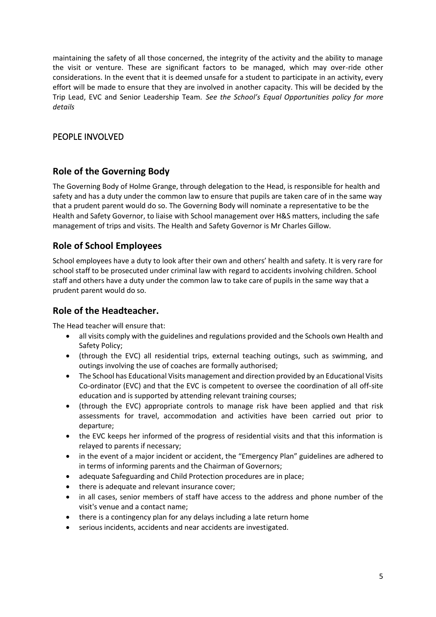maintaining the safety of all those concerned, the integrity of the activity and the ability to manage the visit or venture. These are significant factors to be managed, which may over-ride other considerations. In the event that it is deemed unsafe for a student to participate in an activity, every effort will be made to ensure that they are involved in another capacity. This will be decided by the Trip Lead, EVC and Senior Leadership Team. *See the School's Equal Opportunities policy for more details*

# <span id="page-4-0"></span>PEOPLE INVOLVED

# **Role of the Governing Body**

The Governing Body of Holme Grange, through delegation to the Head, is responsible for health and safety and has a duty under the common law to ensure that pupils are taken care of in the same way that a prudent parent would do so. The Governing Body will nominate a representative to be the Health and Safety Governor, to liaise with School management over H&S matters, including the safe management of trips and visits. The Health and Safety Governor is Mr Charles Gillow.

# **Role of School Employees**

School employees have a duty to look after their own and others' health and safety. It is very rare for school staff to be prosecuted under criminal law with regard to accidents involving children. School staff and others have a duty under the common law to take care of pupils in the same way that a prudent parent would do so.

# **Role of the Headteacher.**

The Head teacher will ensure that:

- all visits comply with the guidelines and regulations provided and the Schools own Health and Safety Policy;
- (through the EVC) all residential trips, external teaching outings, such as swimming, and outings involving the use of coaches are formally authorised;
- The School has Educational Visits management and direction provided by an Educational Visits Co-ordinator (EVC) and that the EVC is competent to oversee the coordination of all off-site education and is supported by attending relevant training courses;
- (through the EVC) appropriate controls to manage risk have been applied and that risk assessments for travel, accommodation and activities have been carried out prior to departure;
- the EVC keeps her informed of the progress of residential visits and that this information is relayed to parents if necessary;
- in the event of a major incident or accident, the "Emergency Plan" guidelines are adhered to in terms of informing parents and the Chairman of Governors;
- adequate Safeguarding and Child Protection procedures are in place;
- there is adequate and relevant insurance cover;
- in all cases, senior members of staff have access to the address and phone number of the visit's venue and a contact name;
- there is a contingency plan for any delays including a late return home
- serious incidents, accidents and near accidents are investigated.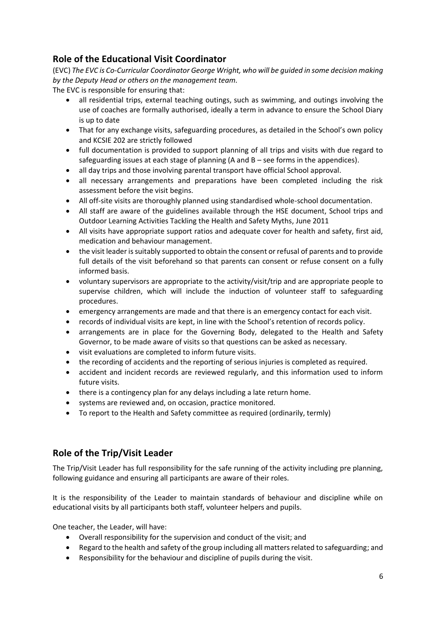# **Role of the Educational Visit Coordinator**

(EVC) *The EVC is Co-Curricular Coordinator George Wright, who will be guided in some decision making by the Deputy Head or others on the management team.*

The EVC is responsible for ensuring that:

- all residential trips, external teaching outings, such as swimming, and outings involving the use of coaches are formally authorised, ideally a term in advance to ensure the School Diary is up to date
- That for any exchange visits, safeguarding procedures, as detailed in the School's own policy and KCSIE 202 are strictly followed
- full documentation is provided to support planning of all trips and visits with due regard to safeguarding issues at each stage of planning (A and B – see forms in the appendices).
- all day trips and those involving parental transport have official School approval.
- all necessary arrangements and preparations have been completed including the risk assessment before the visit begins.
- All off-site visits are thoroughly planned using standardised whole-school documentation.
- All staff are aware of the guidelines available through the HSE document, School trips and Outdoor Learning Activities Tackling the Health and Safety Myths, June 2011
- All visits have appropriate support ratios and adequate cover for health and safety, first aid, medication and behaviour management.
- the visit leader is suitably supported to obtain the consent or refusal of parents and to provide full details of the visit beforehand so that parents can consent or refuse consent on a fully informed basis.
- voluntary supervisors are appropriate to the activity/visit/trip and are appropriate people to supervise children, which will include the induction of volunteer staff to safeguarding procedures.
- emergency arrangements are made and that there is an emergency contact for each visit.
- records of individual visits are kept, in line with the School's retention of records policy.
- arrangements are in place for the Governing Body, delegated to the Health and Safety Governor, to be made aware of visits so that questions can be asked as necessary.
- visit evaluations are completed to inform future visits.
- the recording of accidents and the reporting of serious injuries is completed as required.
- accident and incident records are reviewed regularly, and this information used to inform future visits.
- there is a contingency plan for any delays including a late return home.
- systems are reviewed and, on occasion, practice monitored.
- To report to the Health and Safety committee as required (ordinarily, termly)

# **Role of the Trip/Visit Leader**

The Trip/Visit Leader has full responsibility for the safe running of the activity including pre planning, following guidance and ensuring all participants are aware of their roles.

It is the responsibility of the Leader to maintain standards of behaviour and discipline while on educational visits by all participants both staff, volunteer helpers and pupils.

One teacher, the Leader, will have:

- Overall responsibility for the supervision and conduct of the visit; and
- Regard to the health and safety of the group including all matters related to safeguarding; and
- Responsibility for the behaviour and discipline of pupils during the visit.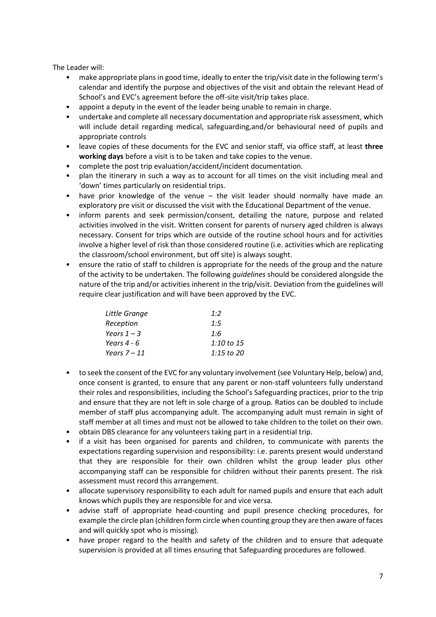The Leader will:

- make appropriate plans in good time, ideally to enter the trip/visit date in the following term's calendar and identify the purpose and objectives of the visit and obtain the relevant Head of School's and EVC's agreement before the off-site visit/trip takes place.
- appoint a deputy in the event of the leader being unable to remain in charge.
- undertake and complete all necessary documentation and appropriate risk assessment, which will include detail regarding medical, safeguarding,and/or behavioural need of pupils and appropriate controls
- leave copies of these documents for the EVC and senior staff, via office staff, at least **three working days** before a visit is to be taken and take copies to the venue.
- complete the post trip evaluation/accident/incident documentation.
- plan the itinerary in such a way as to account for all times on the visit including meal and 'down' times particularly on residential trips.
- have prior knowledge of the venue the visit leader should normally have made an exploratory pre visit or discussed the visit with the Educational Department of the venue.
- inform parents and seek permission/consent, detailing the nature, purpose and related activities involved in the visit. Written consent for parents of nursery aged children is always necessary. Consent for trips which are outside of the routine school hours and for activities involve a higher level of risk than those considered routine (i.e. activities which are replicating the classroom/school environment, but off site) is always sought.
- ensure the ratio of staff to children is appropriate for the needs of the group and the nature of the activity to be undertaken. The following *guidelines* should be considered alongside the nature of the trip and/or activities inherent in the trip/visit. Deviation from the guidelines will require clear justification and will have been approved by the EVC.

| Little Grange  | 1:2        |
|----------------|------------|
| Reception      | 1:5        |
| Years $1-3$    | 1:6        |
| Years 4 - 6    | 1:10 to 15 |
| Years $7 - 11$ | 1:15 to 20 |

- to seek the consent of the EVC for any voluntary involvement (see Voluntary Help, below) and, once consent is granted, to ensure that any parent or non-staff volunteers fully understand their roles and responsibilities, including the School's Safeguarding practices, prior to the trip and ensure that they are not left in sole charge of a group. Ratios can be doubled to include member of staff plus accompanying adult. The accompanying adult must remain in sight of staff member at all times and must not be allowed to take children to the toilet on their own.
- obtain DBS clearance for any volunteers taking part in a residential trip.
- if a visit has been organised for parents and children, to communicate with parents the expectations regarding supervision and responsibility: i.e. parents present would understand that they are responsible for their own children whilst the group leader plus other accompanying staff can be responsible for children without their parents present. The risk assessment must record this arrangement.
- allocate supervisory responsibility to each adult for named pupils and ensure that each adult knows which pupils they are responsible for and vice versa.
- advise staff of appropriate head-counting and pupil presence checking procedures, for example the circle plan (children form circle when counting group they are then aware of faces and will quickly spot who is missing).
- have proper regard to the health and safety of the children and to ensure that adequate supervision is provided at all times ensuring that Safeguarding procedures are followed.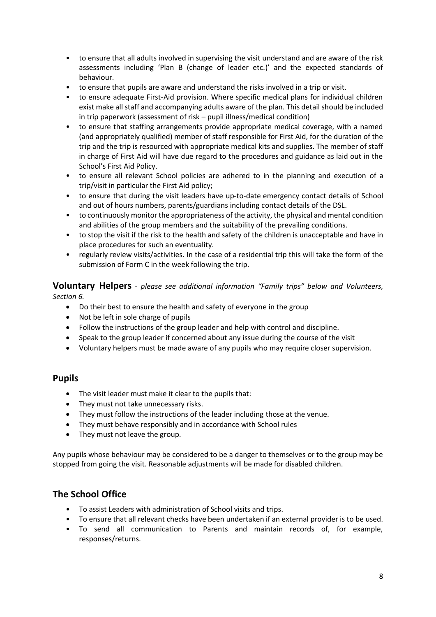- to ensure that all adults involved in supervising the visit understand and are aware of the risk assessments including 'Plan B (change of leader etc.)' and the expected standards of behaviour.
- to ensure that pupils are aware and understand the risks involved in a trip or visit.
- to ensure adequate First-Aid provision. Where specific medical plans for individual children exist make all staff and accompanying adults aware of the plan. This detail should be included in trip paperwork (assessment of risk – pupil illness/medical condition)
- to ensure that staffing arrangements provide appropriate medical coverage, with a named (and appropriately qualified) member of staff responsible for First Aid, for the duration of the trip and the trip is resourced with appropriate medical kits and supplies. The member of staff in charge of First Aid will have due regard to the procedures and guidance as laid out in the School's First Aid Policy.
- to ensure all relevant School policies are adhered to in the planning and execution of a trip/visit in particular the First Aid policy;
- to ensure that during the visit leaders have up-to-date emergency contact details of School and out of hours numbers, parents/guardians including contact details of the DSL.
- to continuously monitor the appropriateness of the activity, the physical and mental condition and abilities of the group members and the suitability of the prevailing conditions.
- to stop the visit if the risk to the health and safety of the children is unacceptable and have in place procedures for such an eventuality.
- regularly review visits/activities. In the case of a residential trip this will take the form of the submission of Form C in the week following the trip.

**Voluntary Helpers** *- please see additional information "Family trips" below and Volunteers, Section 6.*

- Do their best to ensure the health and safety of everyone in the group
- Not be left in sole charge of pupils
- Follow the instructions of the group leader and help with control and discipline.
- Speak to the group leader if concerned about any issue during the course of the visit
- Voluntary helpers must be made aware of any pupils who may require closer supervision.

## **Pupils**

- The visit leader must make it clear to the pupils that:
- They must not take unnecessary risks.
- They must follow the instructions of the leader including those at the venue.
- They must behave responsibly and in accordance with School rules
- They must not leave the group.

Any pupils whose behaviour may be considered to be a danger to themselves or to the group may be stopped from going the visit. Reasonable adjustments will be made for disabled children.

# **The School Office**

- To assist Leaders with administration of School visits and trips.
- To ensure that all relevant checks have been undertaken if an external provider is to be used.
- To send all communication to Parents and maintain records of, for example, responses/returns.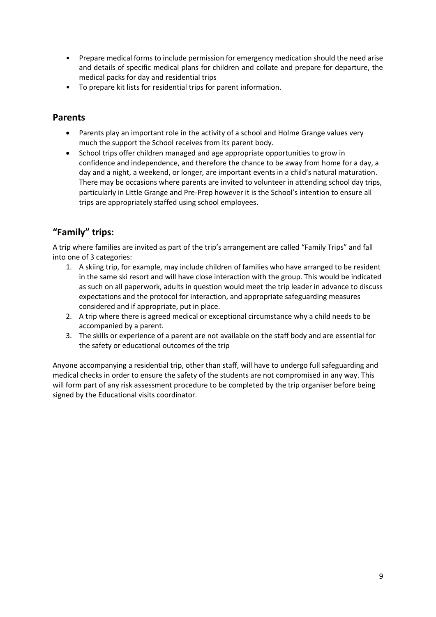- Prepare medical forms to include permission for emergency medication should the need arise and details of specific medical plans for children and collate and prepare for departure, the medical packs for day and residential trips
- To prepare kit lists for residential trips for parent information.

# **Parents**

- Parents play an important role in the activity of a school and Holme Grange values very much the support the School receives from its parent body.
- School trips offer children managed and age appropriate opportunities to grow in confidence and independence, and therefore the chance to be away from home for a day, a day and a night, a weekend, or longer, are important events in a child's natural maturation. There may be occasions where parents are invited to volunteer in attending school day trips, particularly in Little Grange and Pre-Prep however it is the School's intention to ensure all trips are appropriately staffed using school employees.

# **"Family" trips:**

A trip where families are invited as part of the trip's arrangement are called "Family Trips" and fall into one of 3 categories:

- 1. A skiing trip, for example, may include children of families who have arranged to be resident in the same ski resort and will have close interaction with the group. This would be indicated as such on all paperwork, adults in question would meet the trip leader in advance to discuss expectations and the protocol for interaction, and appropriate safeguarding measures considered and if appropriate, put in place.
- 2. A trip where there is agreed medical or exceptional circumstance why a child needs to be accompanied by a parent.
- 3. The skills or experience of a parent are not available on the staff body and are essential for the safety or educational outcomes of the trip

Anyone accompanying a residential trip, other than staff, will have to undergo full safeguarding and medical checks in order to ensure the safety of the students are not compromised in any way. This will form part of any risk assessment procedure to be completed by the trip organiser before being signed by the Educational visits coordinator.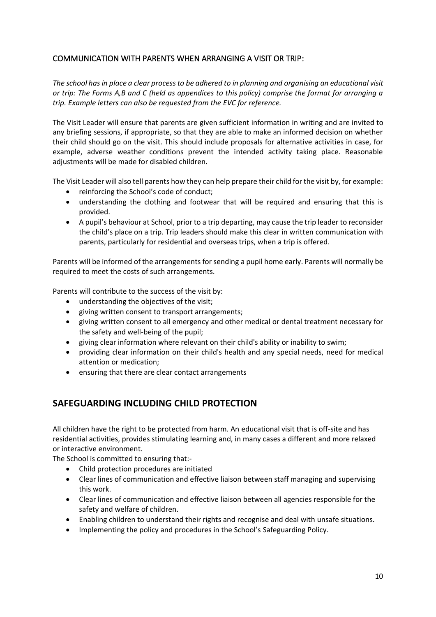## <span id="page-9-0"></span>COMMUNICATION WITH PARENTS WHEN ARRANGING A VISIT OR TRIP:

*The school has in place a clear process to be adhered to in planning and organising an educational visit or trip: The Forms A,B and C (held as appendices to this policy) comprise the format for arranging a trip. Example letters can also be requested from the EVC for reference.*

The Visit Leader will ensure that parents are given sufficient information in writing and are invited to any briefing sessions, if appropriate, so that they are able to make an informed decision on whether their child should go on the visit. This should include proposals for alternative activities in case, for example, adverse weather conditions prevent the intended activity taking place. Reasonable adjustments will be made for disabled children.

The Visit Leader will also tell parents how they can help prepare their child for the visit by, for example:

- reinforcing the School's code of conduct;
- understanding the clothing and footwear that will be required and ensuring that this is provided.
- A pupil's behaviour at School, prior to a trip departing, may cause the trip leader to reconsider the child's place on a trip. Trip leaders should make this clear in written communication with parents, particularly for residential and overseas trips, when a trip is offered.

Parents will be informed of the arrangements for sending a pupil home early. Parents will normally be required to meet the costs of such arrangements.

Parents will contribute to the success of the visit by:

- understanding the objectives of the visit;
- giving written consent to transport arrangements;
- giving written consent to all emergency and other medical or dental treatment necessary for the safety and well-being of the pupil;
- giving clear information where relevant on their child's ability or inability to swim;
- providing clear information on their child's health and any special needs, need for medical attention or medication;
- ensuring that there are clear contact arrangements

# **SAFEGUARDING INCLUDING CHILD PROTECTION**

All children have the right to be protected from harm. An educational visit that is off-site and has residential activities, provides stimulating learning and, in many cases a different and more relaxed or interactive environment.

The School is committed to ensuring that:-

- Child protection procedures are initiated
- Clear lines of communication and effective liaison between staff managing and supervising this work.
- Clear lines of communication and effective liaison between all agencies responsible for the safety and welfare of children.
- Enabling children to understand their rights and recognise and deal with unsafe situations.
- Implementing the policy and procedures in the School's Safeguarding Policy.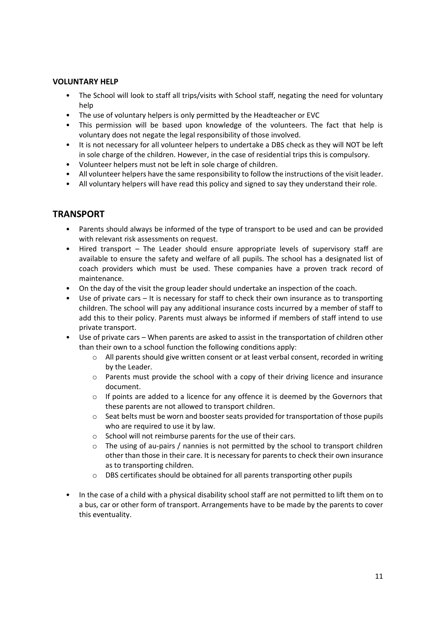### **VOLUNTARY HELP**

- The School will look to staff all trips/visits with School staff, negating the need for voluntary help
- The use of voluntary helpers is only permitted by the Headteacher or EVC
- This permission will be based upon knowledge of the volunteers. The fact that help is voluntary does not negate the legal responsibility of those involved.
- It is not necessary for all volunteer helpers to undertake a DBS check as they will NOT be left in sole charge of the children. However, in the case of residential trips this is compulsory.
- Volunteer helpers must not be left in sole charge of children.
- All volunteer helpers have the same responsibility to follow the instructions of the visit leader.
- All voluntary helpers will have read this policy and signed to say they understand their role.

# **TRANSPORT**

- Parents should always be informed of the type of transport to be used and can be provided with relevant risk assessments on request.
- Hired transport The Leader should ensure appropriate levels of supervisory staff are available to ensure the safety and welfare of all pupils. The school has a designated list of coach providers which must be used. These companies have a proven track record of maintenance.
- On the day of the visit the group leader should undertake an inspection of the coach.
- Use of private cars It is necessary for staff to check their own insurance as to transporting children. The school will pay any additional insurance costs incurred by a member of staff to add this to their policy. Parents must always be informed if members of staff intend to use private transport.
- Use of private cars When parents are asked to assist in the transportation of children other than their own to a school function the following conditions apply:
	- o All parents should give written consent or at least verbal consent, recorded in writing by the Leader.
	- o Parents must provide the school with a copy of their driving licence and insurance document.
	- $\circ$  If points are added to a licence for any offence it is deemed by the Governors that these parents are not allowed to transport children.
	- $\circ$  Seat belts must be worn and booster seats provided for transportation of those pupils who are required to use it by law.
	- o School will not reimburse parents for the use of their cars.
	- $\circ$  The using of au-pairs / nannies is not permitted by the school to transport children other than those in their care. It is necessary for parents to check their own insurance as to transporting children.
	- o DBS certificates should be obtained for all parents transporting other pupils
- In the case of a child with a physical disability school staff are not permitted to lift them on to a bus, car or other form of transport. Arrangements have to be made by the parents to cover this eventuality.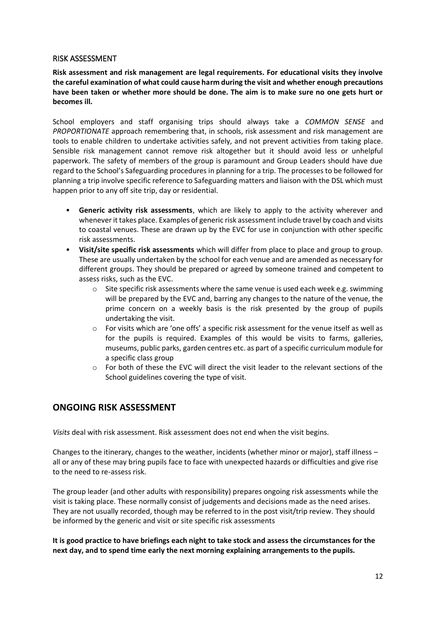#### <span id="page-11-0"></span>RISK ASSESSMENT

**Risk assessment and risk management are legal requirements. For educational visits they involve the careful examination of what could cause harm during the visit and whether enough precautions have been taken or whether more should be done. The aim is to make sure no one gets hurt or becomes ill.**

School employers and staff organising trips should always take a *COMMON SENSE* and *PROPORTIONATE* approach remembering that, in schools, risk assessment and risk management are tools to enable children to undertake activities safely, and not prevent activities from taking place. Sensible risk management cannot remove risk altogether but it should avoid less or unhelpful paperwork. The safety of members of the group is paramount and Group Leaders should have due regard to the School's Safeguarding procedures in planning for a trip. The processes to be followed for planning a trip involve specific reference to Safeguarding matters and liaison with the DSL which must happen prior to any off site trip, day or residential.

- **Generic activity risk assessments**, which are likely to apply to the activity wherever and whenever it takes place. Examples of generic risk assessment include travel by coach and visits to coastal venues. These are drawn up by the EVC for use in conjunction with other specific risk assessments.
- **Visit/site specific risk assessments** which will differ from place to place and group to group. These are usually undertaken by the school for each venue and are amended as necessary for different groups. They should be prepared or agreed by someone trained and competent to assess risks, such as the EVC.
	- $\circ$  Site specific risk assessments where the same venue is used each week e.g. swimming will be prepared by the EVC and, barring any changes to the nature of the venue, the prime concern on a weekly basis is the risk presented by the group of pupils undertaking the visit.
	- $\circ$  For visits which are 'one offs' a specific risk assessment for the venue itself as well as for the pupils is required. Examples of this would be visits to farms, galleries, museums, public parks, garden centres etc. as part of a specific curriculum module for a specific class group
	- o For both of these the EVC will direct the visit leader to the relevant sections of the School guidelines covering the type of visit.

# **ONGOING RISK ASSESSMENT**

*Visits* deal with risk assessment. Risk assessment does not end when the visit begins.

Changes to the itinerary, changes to the weather, incidents (whether minor or major), staff illness – all or any of these may bring pupils face to face with unexpected hazards or difficulties and give rise to the need to re-assess risk.

The group leader (and other adults with responsibility) prepares ongoing risk assessments while the visit is taking place. These normally consist of judgements and decisions made as the need arises. They are not usually recorded, though may be referred to in the post visit/trip review. They should be informed by the generic and visit or site specific risk assessments

**It is good practice to have briefings each night to take stock and assess the circumstances for the next day, and to spend time early the next morning explaining arrangements to the pupils.**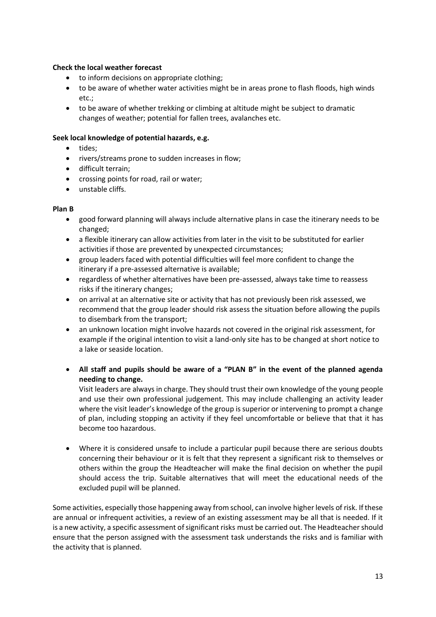#### **Check the local weather forecast**

- to inform decisions on appropriate clothing;
- to be aware of whether water activities might be in areas prone to flash floods, high winds etc.;
- to be aware of whether trekking or climbing at altitude might be subject to dramatic changes of weather; potential for fallen trees, avalanches etc.

#### **Seek local knowledge of potential hazards, e.g.**

- tides:
- rivers/streams prone to sudden increases in flow;
- difficult terrain;
- crossing points for road, rail or water;
- unstable cliffs.

#### **Plan B**

- good forward planning will always include alternative plans in case the itinerary needs to be changed;
- a flexible itinerary can allow activities from later in the visit to be substituted for earlier activities if those are prevented by unexpected circumstances;
- group leaders faced with potential difficulties will feel more confident to change the itinerary if a pre-assessed alternative is available;
- regardless of whether alternatives have been pre-assessed, always take time to reassess risks if the itinerary changes;
- on arrival at an alternative site or activity that has not previously been risk assessed, we recommend that the group leader should risk assess the situation before allowing the pupils to disembark from the transport;
- an unknown location might involve hazards not covered in the original risk assessment, for example if the original intention to visit a land-only site has to be changed at short notice to a lake or seaside location.
- **All staff and pupils should be aware of a "PLAN B" in the event of the planned agenda needing to change.**

Visit leaders are always in charge. They should trust their own knowledge of the young people and use their own professional judgement. This may include challenging an activity leader where the visit leader's knowledge of the group is superior or intervening to prompt a change of plan, including stopping an activity if they feel uncomfortable or believe that that it has become too hazardous.

• Where it is considered unsafe to include a particular pupil because there are serious doubts concerning their behaviour or it is felt that they represent a significant risk to themselves or others within the group the Headteacher will make the final decision on whether the pupil should access the trip. Suitable alternatives that will meet the educational needs of the excluded pupil will be planned.

Some activities, especially those happening away from school, can involve higher levels of risk. If these are annual or infrequent activities, a review of an existing assessment may be all that is needed. If it is a new activity, a specific assessment of significant risks must be carried out. The Headteacher should ensure that the person assigned with the assessment task understands the risks and is familiar with the activity that is planned.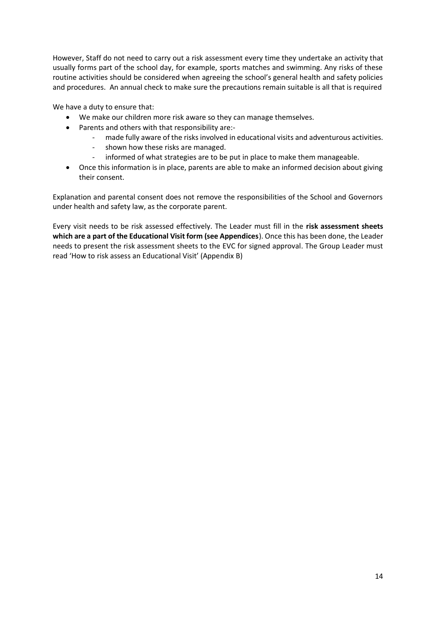However, Staff do not need to carry out a risk assessment every time they undertake an activity that usually forms part of the school day, for example, sports matches and swimming. Any risks of these routine activities should be considered when agreeing the school's general health and safety policies and procedures. An annual check to make sure the precautions remain suitable is all that is required

We have a duty to ensure that:

- We make our children more risk aware so they can manage themselves.
- Parents and others with that responsibility are:
	- made fully aware of the risks involved in educational visits and adventurous activities.
	- shown how these risks are managed.
	- informed of what strategies are to be put in place to make them manageable.
- Once this information is in place, parents are able to make an informed decision about giving their consent.

Explanation and parental consent does not remove the responsibilities of the School and Governors under health and safety law, as the corporate parent.

Every visit needs to be risk assessed effectively. The Leader must fill in the **risk assessment sheets which are a part of the Educational Visit form (see Appendices**). Once this has been done, the Leader needs to present the risk assessment sheets to the EVC for signed approval. The Group Leader must read 'How to risk assess an Educational Visit' (Appendix B)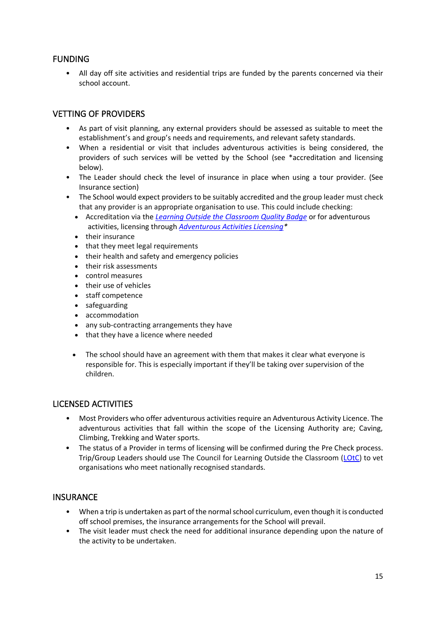## <span id="page-14-0"></span>FUNDING

• All day off site activities and residential trips are funded by the parents concerned via their school account.

## <span id="page-14-1"></span>VETTING OF PROVIDERS

- As part of visit planning, any external providers should be assessed as suitable to meet the establishment's and group's needs and requirements, and relevant safety standards.
- When a residential or visit that includes adventurous activities is being considered, the providers of such services will be vetted by the School (see \*accreditation and licensing below).
- The Leader should check the level of insurance in place when using a tour provider. (See Insurance section)
- The School would expect providers to be suitably accredited and the group leader must check that any provider is an appropriate organisation to use. This could include checking:
	- Accreditation via the *[Learning Outside the Classroom Quality Badge](https://www.lotc.org.uk/)* or for adventurous activities, licensing through *[Adventurous Activities Licensing\\*](https://www.hse.gov.uk/aala/index.htm)*
	- their insurance
	- that they meet legal requirements
	- their health and safety and emergency policies
	- their risk assessments
	- control measures
	- their use of vehicles
	- staff competence
	- safeguarding
	- accommodation
	- any sub-contracting arrangements they have
	- that they have a licence where needed
	- The school should have an agreement with them that makes it clear what everyone is responsible for. This is especially important if they'll be taking over supervision of the children.

## <span id="page-14-2"></span>LICENSED ACTIVITIES

- Most Providers who offer adventurous activities require an Adventurous Activity Licence. The adventurous activities that fall within the scope of the Licensing Authority are; Caving, Climbing, Trekking and Water sports.
- The status of a Provider in terms of licensing will be confirmed during the Pre Check process. Trip/Group Leaders should use The Council for Learning Outside the Classroom [\(LOtC\)](http://lotcqualitybadge.org.uk/) to vet organisations who meet nationally recognised standards.

#### <span id="page-14-3"></span>**INSURANCE**

- When a trip is undertaken as part of the normal school curriculum, even though it is conducted off school premises, the insurance arrangements for the School will prevail.
- The visit leader must check the need for additional insurance depending upon the nature of the activity to be undertaken.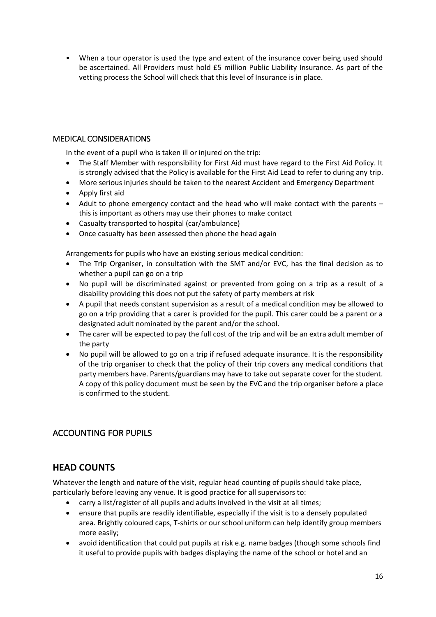• When a tour operator is used the type and extent of the insurance cover being used should be ascertained. All Providers must hold £5 million Public Liability Insurance. As part of the vetting process the School will check that this level of Insurance is in place.

## <span id="page-15-0"></span>MEDICAL CONSIDERATIONS

In the event of a pupil who is taken ill or injured on the trip:

- The Staff Member with responsibility for First Aid must have regard to the First Aid Policy. It is strongly advised that the Policy is available for the First Aid Lead to refer to during any trip.
- More serious injuries should be taken to the nearest Accident and Emergency Department
- Apply first aid
- Adult to phone emergency contact and the head who will make contact with the parents this is important as others may use their phones to make contact
- Casualty transported to hospital (car/ambulance)
- Once casualty has been assessed then phone the head again

Arrangements for pupils who have an existing serious medical condition:

- The Trip Organiser, in consultation with the SMT and/or EVC, has the final decision as to whether a pupil can go on a trip
- No pupil will be discriminated against or prevented from going on a trip as a result of a disability providing this does not put the safety of party members at risk
- A pupil that needs constant supervision as a result of a medical condition may be allowed to go on a trip providing that a carer is provided for the pupil. This carer could be a parent or a designated adult nominated by the parent and/or the school.
- The carer will be expected to pay the full cost of the trip and will be an extra adult member of the party
- No pupil will be allowed to go on a trip if refused adequate insurance. It is the responsibility of the trip organiser to check that the policy of their trip covers any medical conditions that party members have. Parents/guardians may have to take out separate cover for the student. A copy of this policy document must be seen by the EVC and the trip organiser before a place is confirmed to the student.

# <span id="page-15-1"></span>ACCOUNTING FOR PUPILS

# **HEAD COUNTS**

Whatever the length and nature of the visit, regular head counting of pupils should take place, particularly before leaving any venue. It is good practice for all supervisors to:

- carry a list/register of all pupils and adults involved in the visit at all times;
- ensure that pupils are readily identifiable, especially if the visit is to a densely populated area. Brightly coloured caps, T-shirts or our school uniform can help identify group members more easily;
- avoid identification that could put pupils at risk e.g. name badges (though some schools find it useful to provide pupils with badges displaying the name of the school or hotel and an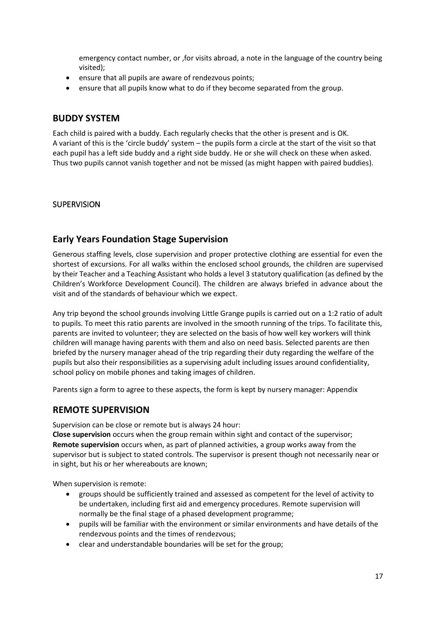emergency contact number, or ,for visits abroad, a note in the language of the country being visited);

- ensure that all pupils are aware of rendezvous points;
- ensure that all pupils know what to do if they become separated from the group.

### **BUDDY SYSTEM**

Each child is paired with a buddy. Each regularly checks that the other is present and is OK. A variant of this is the 'circle buddy' system – the pupils form a circle at the start of the visit so that each pupil has a left side buddy and a right side buddy. He or she will check on these when asked. Thus two pupils cannot vanish together and not be missed (as might happen with paired buddies).

#### <span id="page-16-0"></span>**SUPERVISION**

## **Early Years Foundation Stage Supervision**

Generous staffing levels, close supervision and proper protective clothing are essential for even the shortest of excursions. For all walks within the enclosed school grounds, the children are supervised by their Teacher and a Teaching Assistant who holds a level 3 statutory qualification (as defined by the Children's Workforce Development Council). The children are always briefed in advance about the visit and of the standards of behaviour which we expect.

Any trip beyond the school grounds involving Little Grange pupils is carried out on a 1:2 ratio of adult to pupils. To meet this ratio parents are involved in the smooth running of the trips. To facilitate this, parents are invited to volunteer; they are selected on the basis of how well key workers will think children will manage having parents with them and also on need basis. Selected parents are then briefed by the nursery manager ahead of the trip regarding their duty regarding the welfare of the pupils but also their responsibilities as a supervising adult including issues around confidentiality, school policy on mobile phones and taking images of children.

Parents sign a form to agree to these aspects, the form is kept by nursery manager: Appendix

## **REMOTE SUPERVISION**

Supervision can be close or remote but is always 24 hour:

**Close supervision** occurs when the group remain within sight and contact of the supervisor; **Remote supervision** occurs when, as part of planned activities, a group works away from the supervisor but is subject to stated controls. The supervisor is present though not necessarily near or in sight, but his or her whereabouts are known;

When supervision is remote:

- groups should be sufficiently trained and assessed as competent for the level of activity to be undertaken, including first aid and emergency procedures. Remote supervision will normally be the final stage of a phased development programme;
- pupils will be familiar with the environment or similar environments and have details of the rendezvous points and the times of rendezvous;
- clear and understandable boundaries will be set for the group;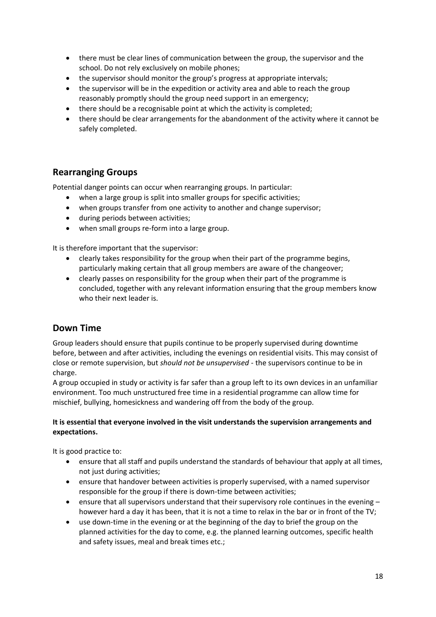- there must be clear lines of communication between the group, the supervisor and the school. Do not rely exclusively on mobile phones;
- the supervisor should monitor the group's progress at appropriate intervals;
- the supervisor will be in the expedition or activity area and able to reach the group reasonably promptly should the group need support in an emergency;
- there should be a recognisable point at which the activity is completed;
- there should be clear arrangements for the abandonment of the activity where it cannot be safely completed.

# **Rearranging Groups**

Potential danger points can occur when rearranging groups. In particular:

- when a large group is split into smaller groups for specific activities;
- when groups transfer from one activity to another and change supervisor;
- during periods between activities;
- when small groups re-form into a large group.

It is therefore important that the supervisor:

- clearly takes responsibility for the group when their part of the programme begins, particularly making certain that all group members are aware of the changeover;
- clearly passes on responsibility for the group when their part of the programme is concluded, together with any relevant information ensuring that the group members know who their next leader is.

# **Down Time**

Group leaders should ensure that pupils continue to be properly supervised during downtime before, between and after activities, including the evenings on residential visits. This may consist of close or remote supervision, but *should not be unsupervised* - the supervisors continue to be in charge.

A group occupied in study or activity is far safer than a group left to its own devices in an unfamiliar environment. Too much unstructured free time in a residential programme can allow time for mischief, bullying, homesickness and wandering off from the body of the group.

#### **It is essential that everyone involved in the visit understands the supervision arrangements and expectations.**

It is good practice to:

- ensure that all staff and pupils understand the standards of behaviour that apply at all times, not just during activities;
- ensure that handover between activities is properly supervised, with a named supervisor responsible for the group if there is down-time between activities;
- ensure that all supervisors understand that their supervisory role continues in the evening however hard a day it has been, that it is not a time to relax in the bar or in front of the TV;
- use down-time in the evening or at the beginning of the day to brief the group on the planned activities for the day to come, e.g. the planned learning outcomes, specific health and safety issues, meal and break times etc.;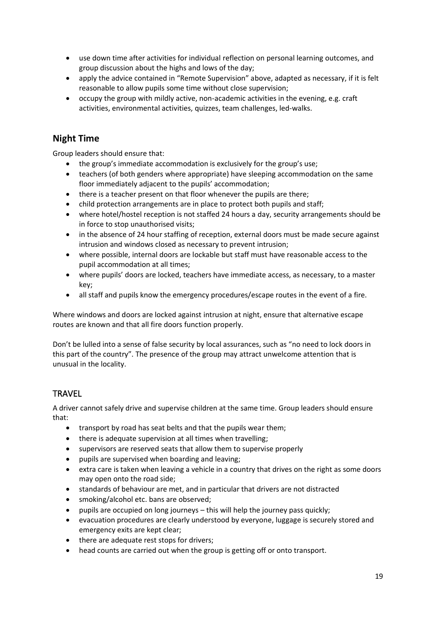- use down time after activities for individual reflection on personal learning outcomes, and group discussion about the highs and lows of the day;
- apply the advice contained in "Remote Supervision" above, adapted as necessary, if it is felt reasonable to allow pupils some time without close supervision;
- occupy the group with mildly active, non-academic activities in the evening, e.g. craft activities, environmental activities, quizzes, team challenges, led-walks.

# **Night Time**

Group leaders should ensure that:

- the group's immediate accommodation is exclusively for the group's use;
- teachers (of both genders where appropriate) have sleeping accommodation on the same floor immediately adjacent to the pupils' accommodation;
- there is a teacher present on that floor whenever the pupils are there;
- child protection arrangements are in place to protect both pupils and staff;
- where hotel/hostel reception is not staffed 24 hours a day, security arrangements should be in force to stop unauthorised visits;
- in the absence of 24 hour staffing of reception, external doors must be made secure against intrusion and windows closed as necessary to prevent intrusion;
- where possible, internal doors are lockable but staff must have reasonable access to the pupil accommodation at all times;
- where pupils' doors are locked, teachers have immediate access, as necessary, to a master key;
- all staff and pupils know the emergency procedures/escape routes in the event of a fire.

Where windows and doors are locked against intrusion at night, ensure that alternative escape routes are known and that all fire doors function properly.

Don't be lulled into a sense of false security by local assurances, such as "no need to lock doors in this part of the country". The presence of the group may attract unwelcome attention that is unusual in the locality.

# <span id="page-18-0"></span>**TRAVEL**

A driver cannot safely drive and supervise children at the same time. Group leaders should ensure that:

- transport by road has seat belts and that the pupils wear them;
- there is adequate supervision at all times when travelling;
- supervisors are reserved seats that allow them to supervise properly
- pupils are supervised when boarding and leaving;
- extra care is taken when leaving a vehicle in a country that drives on the right as some doors may open onto the road side;
- standards of behaviour are met, and in particular that drivers are not distracted
- smoking/alcohol etc. bans are observed;
- pupils are occupied on long journeys this will help the journey pass quickly;
- evacuation procedures are clearly understood by everyone, luggage is securely stored and emergency exits are kept clear;
- there are adequate rest stops for drivers;
- head counts are carried out when the group is getting off or onto transport.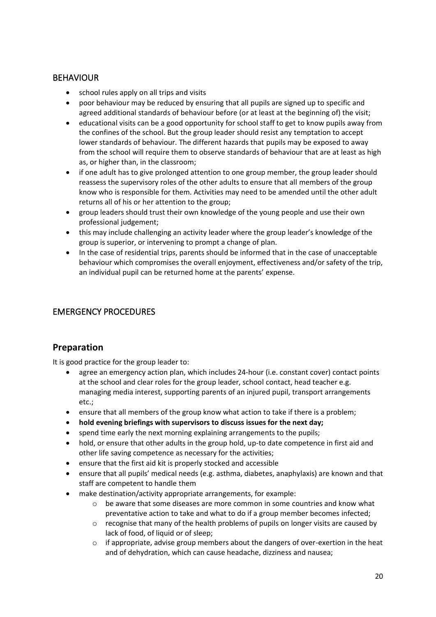# <span id="page-19-0"></span>BEHAVIOUR

- school rules apply on all trips and visits
- poor behaviour may be reduced by ensuring that all pupils are signed up to specific and agreed additional standards of behaviour before (or at least at the beginning of) the visit;
- educational visits can be a good opportunity for school staff to get to know pupils away from the confines of the school. But the group leader should resist any temptation to accept lower standards of behaviour. The different hazards that pupils may be exposed to away from the school will require them to observe standards of behaviour that are at least as high as, or higher than, in the classroom;
- if one adult has to give prolonged attention to one group member, the group leader should reassess the supervisory roles of the other adults to ensure that all members of the group know who is responsible for them. Activities may need to be amended until the other adult returns all of his or her attention to the group;
- group leaders should trust their own knowledge of the young people and use their own professional judgement;
- this may include challenging an activity leader where the group leader's knowledge of the group is superior, or intervening to prompt a change of plan.
- In the case of residential trips, parents should be informed that in the case of unacceptable behaviour which compromises the overall enjoyment, effectiveness and/or safety of the trip, an individual pupil can be returned home at the parents' expense.

# <span id="page-19-1"></span>EMERGENCY PROCEDURES

# **Preparation**

It is good practice for the group leader to:

- agree an emergency action plan, which includes 24-hour (i.e. constant cover) contact points at the school and clear roles for the group leader, school contact, head teacher e.g. managing media interest, supporting parents of an injured pupil, transport arrangements etc.;
- ensure that all members of the group know what action to take if there is a problem;
- **hold evening briefings with supervisors to discuss issues for the next day;**
- spend time early the next morning explaining arrangements to the pupils;
- hold, or ensure that other adults in the group hold, up-to date competence in first aid and other life saving competence as necessary for the activities;
- ensure that the first aid kit is properly stocked and accessible
- ensure that all pupils' medical needs (e.g. asthma, diabetes, anaphylaxis) are known and that staff are competent to handle them
- make destination/activity appropriate arrangements, for example:
	- o be aware that some diseases are more common in some countries and know what preventative action to take and what to do if a group member becomes infected;
	- $\circ$  recognise that many of the health problems of pupils on longer visits are caused by lack of food, of liquid or of sleep;
	- $\circ$  if appropriate, advise group members about the dangers of over-exertion in the heat and of dehydration, which can cause headache, dizziness and nausea;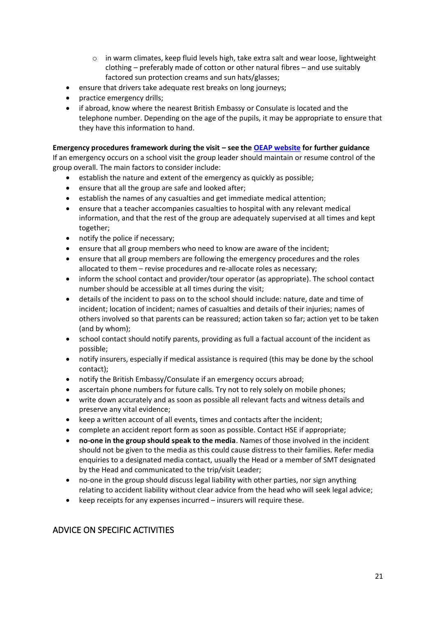- o in warm climates, keep fluid levels high, take extra salt and wear loose, lightweight clothing – preferably made of cotton or other natural fibres – and use suitably factored sun protection creams and sun hats/glasses;
- ensure that drivers take adequate rest breaks on long journeys;
- practice emergency drills;
- if abroad, know where the nearest British Embassy or Consulate is located and the telephone number. Depending on the age of the pupils, it may be appropriate to ensure that they have this information to hand.

#### **Emergency procedures framework during the visit – see th[e OEAP website](https://oeapng.info/) for further guidance**

If an emergency occurs on a school visit the group leader should maintain or resume control of the group overall. The main factors to consider include:

- establish the nature and extent of the emergency as quickly as possible;
- ensure that all the group are safe and looked after;
- establish the names of any casualties and get immediate medical attention;
- ensure that a teacher accompanies casualties to hospital with any relevant medical information, and that the rest of the group are adequately supervised at all times and kept together;
- notify the police if necessary;
- ensure that all group members who need to know are aware of the incident;
- ensure that all group members are following the emergency procedures and the roles allocated to them – revise procedures and re-allocate roles as necessary;
- inform the school contact and provider/tour operator (as appropriate). The school contact number should be accessible at all times during the visit;
- details of the incident to pass on to the school should include: nature, date and time of incident; location of incident; names of casualties and details of their injuries; names of others involved so that parents can be reassured; action taken so far; action yet to be taken (and by whom);
- school contact should notify parents, providing as full a factual account of the incident as possible;
- notify insurers, especially if medical assistance is required (this may be done by the school contact);
- notify the British Embassy/Consulate if an emergency occurs abroad;
- ascertain phone numbers for future calls. Try not to rely solely on mobile phones;
- write down accurately and as soon as possible all relevant facts and witness details and preserve any vital evidence;
- keep a written account of all events, times and contacts after the incident;
- complete an accident report form as soon as possible. Contact HSE if appropriate;
- **no-one in the group should speak to the media**. Names of those involved in the incident should not be given to the media as this could cause distress to their families. Refer media enquiries to a designated media contact, usually the Head or a member of SMT designated by the Head and communicated to the trip/visit Leader;
- no-one in the group should discuss legal liability with other parties, nor sign anything relating to accident liability without clear advice from the head who will seek legal advice;
- keep receipts for any expenses incurred insurers will require these.

# <span id="page-20-0"></span>ADVICE ON SPECIFIC ACTIVITIES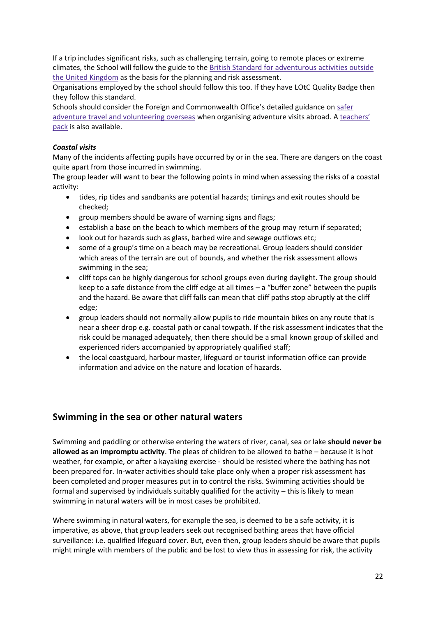If a trip includes significant risks, such as challenging terrain, going to remote places or extreme climates, the School will follow the guide to the British Standard for [adventurous](https://www.bsigroup.com/en-GB/about-bsi/uk-national-standards-body/what-is-the-national-standards-body/why-standards-matter-for-consumers/consumer-resources/) activities outside the United [Kingdom](https://www.bsigroup.com/en-GB/about-bsi/uk-national-standards-body/what-is-the-national-standards-body/why-standards-matter-for-consumers/consumer-resources/) as the basis for the planning and risk assessment.

Organisations employed by the school should follow this too. If they have LOtC Quality Badge then they follow this standard.

Schools should consider the Foreign and Commonwealth Office's detailed guidance on [safer](https://www.gov.uk/safer-adventure-travel-and-volunteering-overseas) adventure travel and [volunteering](https://www.gov.uk/safer-adventure-travel-and-volunteering-overseas) overseas when organising adventure visits abroad. A [teachers'](https://www.gov.uk/teachers-pack) [pack](https://www.gov.uk/teachers-pack) is also available.

#### *Coastal visits*

Many of the incidents affecting pupils have occurred by or in the sea. There are dangers on the coast quite apart from those incurred in swimming.

The group leader will want to bear the following points in mind when assessing the risks of a coastal activity:

- tides, rip tides and sandbanks are potential hazards; timings and exit routes should be checked;
- group members should be aware of warning signs and flags;
- establish a base on the beach to which members of the group may return if separated;
- look out for hazards such as glass, barbed wire and sewage outflows etc;
- some of a group's time on a beach may be recreational. Group leaders should consider which areas of the terrain are out of bounds, and whether the risk assessment allows swimming in the sea;
- cliff tops can be highly dangerous for school groups even during daylight. The group should keep to a safe distance from the cliff edge at all times – a "buffer zone" between the pupils and the hazard. Be aware that cliff falls can mean that cliff paths stop abruptly at the cliff edge;
- group leaders should not normally allow pupils to ride mountain bikes on any route that is near a sheer drop e.g. coastal path or canal towpath. If the risk assessment indicates that the risk could be managed adequately, then there should be a small known group of skilled and experienced riders accompanied by appropriately qualified staff;
- the local coastguard, harbour master, lifeguard or tourist information office can provide information and advice on the nature and location of hazards.

# **Swimming in the sea or other natural waters**

Swimming and paddling or otherwise entering the waters of river, canal, sea or lake **should never be allowed as an impromptu activity**. The pleas of children to be allowed to bathe – because it is hot weather, for example, or after a kayaking exercise - should be resisted where the bathing has not been prepared for. In-water activities should take place only when a proper risk assessment has been completed and proper measures put in to control the risks. Swimming activities should be formal and supervised by individuals suitably qualified for the activity – this is likely to mean swimming in natural waters will be in most cases be prohibited.

Where swimming in natural waters, for example the sea, is deemed to be a safe activity, it is imperative, as above, that group leaders seek out recognised bathing areas that have official surveillance: i.e. qualified lifeguard cover. But, even then, group leaders should be aware that pupils might mingle with members of the public and be lost to view thus in assessing for risk, the activity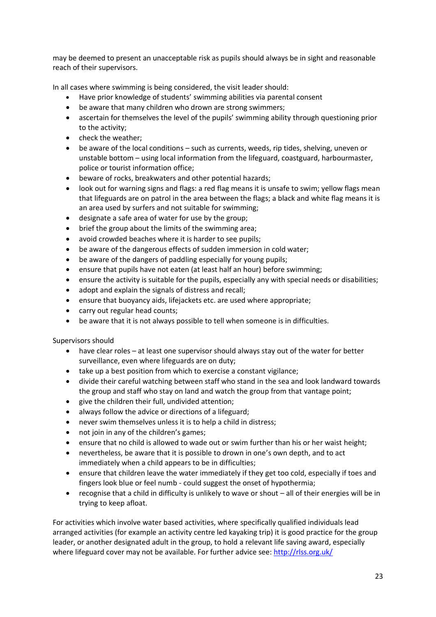may be deemed to present an unacceptable risk as pupils should always be in sight and reasonable reach of their supervisors.

In all cases where swimming is being considered, the visit leader should:

- Have prior knowledge of students' swimming abilities via parental consent
- be aware that many children who drown are strong swimmers;
- ascertain for themselves the level of the pupils' swimming ability through questioning prior to the activity;
- check the weather;
- be aware of the local conditions such as currents, weeds, rip tides, shelving, uneven or unstable bottom – using local information from the lifeguard, coastguard, harbourmaster, police or tourist information office;
- beware of rocks, breakwaters and other potential hazards;
- look out for warning signs and flags: a red flag means it is unsafe to swim; yellow flags mean that lifeguards are on patrol in the area between the flags; a black and white flag means it is an area used by surfers and not suitable for swimming;
- designate a safe area of water for use by the group;
- brief the group about the limits of the swimming area;
- avoid crowded beaches where it is harder to see pupils;
- be aware of the dangerous effects of sudden immersion in cold water;
- be aware of the dangers of paddling especially for young pupils;
- ensure that pupils have not eaten (at least half an hour) before swimming;
- ensure the activity is suitable for the pupils, especially any with special needs or disabilities;
- adopt and explain the signals of distress and recall;
- ensure that buoyancy aids, lifejackets etc. are used where appropriate;
- carry out regular head counts;
- be aware that it is not always possible to tell when someone is in difficulties.

Supervisors should

- have clear roles at least one supervisor should always stay out of the water for better surveillance, even where lifeguards are on duty;
- take up a best position from which to exercise a constant vigilance;
- divide their careful watching between staff who stand in the sea and look landward towards the group and staff who stay on land and watch the group from that vantage point;
- give the children their full, undivided attention;
- always follow the advice or directions of a lifeguard;
- never swim themselves unless it is to help a child in distress;
- not join in any of the children's games:
- ensure that no child is allowed to wade out or swim further than his or her waist height;
- nevertheless, be aware that it is possible to drown in one's own depth, and to act immediately when a child appears to be in difficulties;
- ensure that children leave the water immediately if they get too cold, especially if toes and fingers look blue or feel numb - could suggest the onset of hypothermia;
- recognise that a child in difficulty is unlikely to wave or shout all of their energies will be in trying to keep afloat.

For activities which involve water based activities, where specifically qualified individuals lead arranged activities (for example an activity centre led kayaking trip) it is good practice for the group leader, or another designated adult in the group, to hold a relevant life saving award, especially where lifeguard cover may not be available. For further advice see: <http://rlss.org.uk/>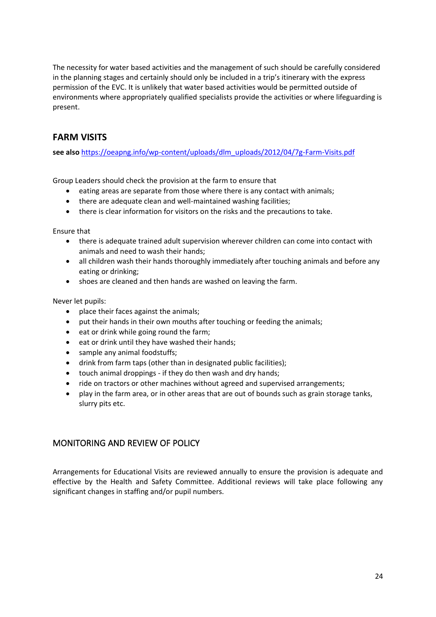The necessity for water based activities and the management of such should be carefully considered in the planning stages and certainly should only be included in a trip's itinerary with the express permission of the EVC. It is unlikely that water based activities would be permitted outside of environments where appropriately qualified specialists provide the activities or where lifeguarding is present.

# **FARM VISITS**

**see also** [https://oeapng.info/wp-content/uploads/dlm\\_uploads/2012/04/7g-Farm-Visits.pdf](https://oeapng.info/wp-content/uploads/dlm_uploads/2012/04/7g-Farm-Visits.pdf)

Group Leaders should check the provision at the farm to ensure that

- eating areas are separate from those where there is any contact with animals;
- there are adequate clean and well-maintained washing facilities;
- there is clear information for visitors on the risks and the precautions to take.

Ensure that

- there is adequate trained adult supervision wherever children can come into contact with animals and need to wash their hands;
- all children wash their hands thoroughly immediately after touching animals and before any eating or drinking;
- shoes are cleaned and then hands are washed on leaving the farm.

Never let pupils:

- place their faces against the animals;
- put their hands in their own mouths after touching or feeding the animals;
- eat or drink while going round the farm;
- eat or drink until they have washed their hands;
- sample any animal foodstuffs;
- drink from farm taps (other than in designated public facilities);
- touch animal droppings if they do then wash and dry hands;
- ride on tractors or other machines without agreed and supervised arrangements;
- play in the farm area, or in other areas that are out of bounds such as grain storage tanks, slurry pits etc.

## <span id="page-23-0"></span>MONITORING AND REVIEW OF POLICY

Arrangements for Educational Visits are reviewed annually to ensure the provision is adequate and effective by the Health and Safety Committee. Additional reviews will take place following any significant changes in staffing and/or pupil numbers.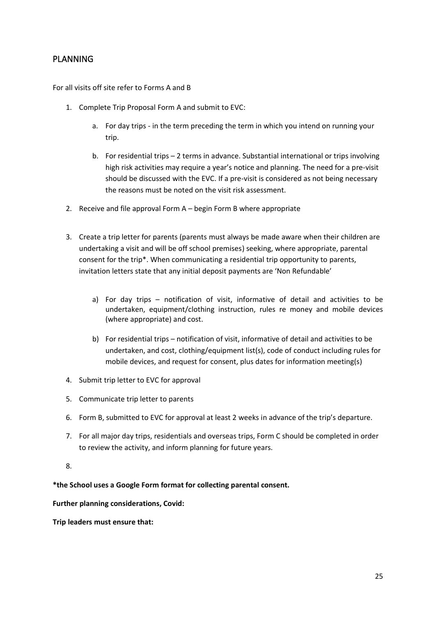## <span id="page-24-0"></span>PLANNING

For all visits off site refer to Forms A and B

- 1. Complete Trip Proposal Form A and submit to EVC:
	- a. For day trips in the term preceding the term in which you intend on running your trip.
	- b. For residential trips 2 terms in advance. Substantial international or trips involving high risk activities may require a year's notice and planning. The need for a pre-visit should be discussed with the EVC. If a pre-visit is considered as not being necessary the reasons must be noted on the visit risk assessment.
- 2. Receive and file approval Form A begin Form B where appropriate
- 3. Create a trip letter for parents (parents must always be made aware when their children are undertaking a visit and will be off school premises) seeking, where appropriate, parental consent for the trip\*. When communicating a residential trip opportunity to parents, invitation letters state that any initial deposit payments are 'Non Refundable'
	- a) For day trips notification of visit, informative of detail and activities to be undertaken, equipment/clothing instruction, rules re money and mobile devices (where appropriate) and cost.
	- b) For residential trips notification of visit, informative of detail and activities to be undertaken, and cost, clothing/equipment list(s), code of conduct including rules for mobile devices, and request for consent, plus dates for information meeting(s)
- 4. Submit trip letter to EVC for approval
- 5. Communicate trip letter to parents
- 6. Form B, submitted to EVC for approval at least 2 weeks in advance of the trip's departure.
- 7. For all major day trips, residentials and overseas trips, Form C should be completed in order to review the activity, and inform planning for future years.
- 8.

#### **\*the School uses a Google Form format for collecting parental consent.**

#### **Further planning considerations, Covid:**

**Trip leaders must ensure that:**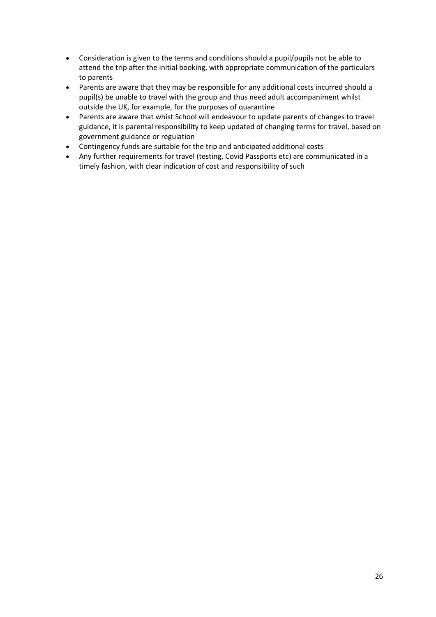- Consideration is given to the terms and conditions should a pupil/pupils not be able to attend the trip after the initial booking, with appropriate communication of the particulars to parents
- Parents are aware that they may be responsible for any additional costs incurred should a pupil(s) be unable to travel with the group and thus need adult accompaniment whilst outside the UK, for example, for the purposes of quarantine
- Parents are aware that whist School will endeavour to update parents of changes to travel guidance, it is parental responsibility to keep updated of changing terms for travel, based on government guidance or regulation
- Contingency funds are suitable for the trip and anticipated additional costs
- Any further requirements for travel (testing, Covid Passports etc) are communicated in a timely fashion, with clear indication of cost and responsibility of such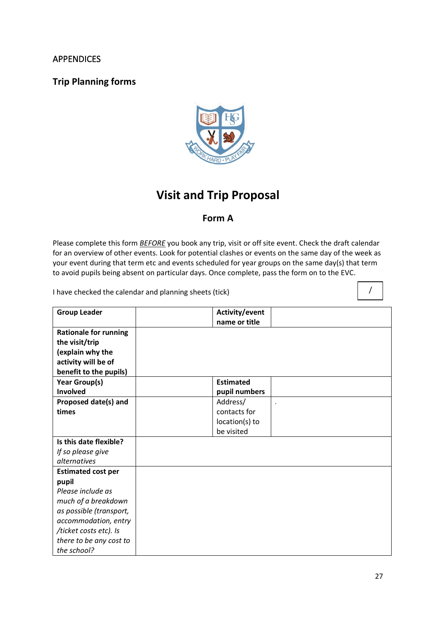## <span id="page-26-0"></span>APPENDICES

# **Trip Planning forms**



# **Visit and Trip Proposal**

# **Form A**

Please complete this form *BEFORE* you book any trip, visit or off site event. Check the draft calendar for an overview of other events. Look for potential clashes or events on the same day of the week as your event during that term etc and events scheduled for year groups on the same day(s) that term to avoid pupils being absent on particular days. Once complete, pass the form on to the EVC.

I have checked the calendar and planning sheets (tick)

| <b>Group Leader</b>                                                                                                 | Activity/event<br>name or title |
|---------------------------------------------------------------------------------------------------------------------|---------------------------------|
| <b>Rationale for running</b><br>the visit/trip<br>(explain why the<br>activity will be of<br>benefit to the pupils) |                                 |
| Year Group(s)                                                                                                       | <b>Estimated</b>                |
| Involved                                                                                                            | pupil numbers                   |
| Proposed date(s) and                                                                                                | Address/                        |
| times                                                                                                               | contacts for                    |
|                                                                                                                     | location(s) to                  |
|                                                                                                                     | be visited                      |
| Is this date flexible?                                                                                              |                                 |
| If so please give                                                                                                   |                                 |
| <i>alternatives</i>                                                                                                 |                                 |
| <b>Estimated cost per</b>                                                                                           |                                 |
| pupil                                                                                                               |                                 |
| Please include as                                                                                                   |                                 |
| much of a breakdown                                                                                                 |                                 |
| as possible (transport,                                                                                             |                                 |
| accommodation, entry                                                                                                |                                 |
| /ticket costs etc). Is                                                                                              |                                 |
| there to be any cost to                                                                                             |                                 |
| the school?                                                                                                         |                                 |

/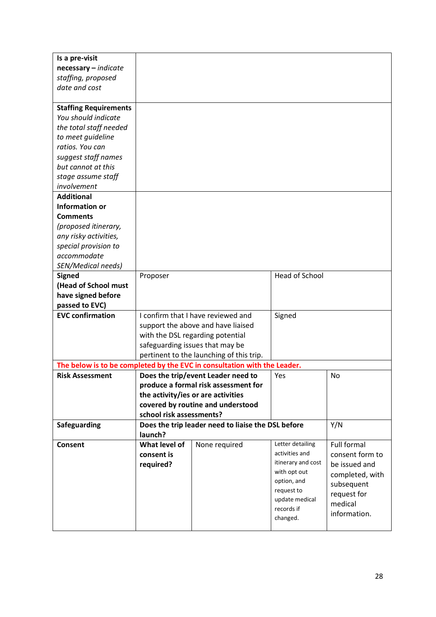| Is a pre-visit               |                                          |                                                                          |                       |                    |
|------------------------------|------------------------------------------|--------------------------------------------------------------------------|-----------------------|--------------------|
| $necessary - indicate$       |                                          |                                                                          |                       |                    |
| staffing, proposed           |                                          |                                                                          |                       |                    |
| date and cost                |                                          |                                                                          |                       |                    |
|                              |                                          |                                                                          |                       |                    |
| <b>Staffing Requirements</b> |                                          |                                                                          |                       |                    |
| You should indicate          |                                          |                                                                          |                       |                    |
| the total staff needed       |                                          |                                                                          |                       |                    |
| to meet quideline            |                                          |                                                                          |                       |                    |
| ratios. You can              |                                          |                                                                          |                       |                    |
| suggest staff names          |                                          |                                                                          |                       |                    |
| but cannot at this           |                                          |                                                                          |                       |                    |
| stage assume staff           |                                          |                                                                          |                       |                    |
| involvement                  |                                          |                                                                          |                       |                    |
| <b>Additional</b>            |                                          |                                                                          |                       |                    |
| <b>Information or</b>        |                                          |                                                                          |                       |                    |
| <b>Comments</b>              |                                          |                                                                          |                       |                    |
| (proposed itinerary,         |                                          |                                                                          |                       |                    |
| any risky activities,        |                                          |                                                                          |                       |                    |
| special provision to         |                                          |                                                                          |                       |                    |
| accommodate                  |                                          |                                                                          |                       |                    |
| SEN/Medical needs)           |                                          |                                                                          |                       |                    |
| <b>Signed</b>                | Proposer                                 |                                                                          | <b>Head of School</b> |                    |
| (Head of School must         |                                          |                                                                          |                       |                    |
| have signed before           |                                          |                                                                          |                       |                    |
| passed to EVC)               |                                          |                                                                          |                       |                    |
| <b>EVC confirmation</b>      |                                          | I confirm that I have reviewed and                                       | Signed                |                    |
|                              |                                          | support the above and have liaised                                       |                       |                    |
|                              |                                          | with the DSL regarding potential                                         |                       |                    |
|                              | safeguarding issues that may be          |                                                                          |                       |                    |
|                              | pertinent to the launching of this trip. |                                                                          |                       |                    |
|                              |                                          | The below is to be completed by the EVC in consultation with the Leader. |                       |                    |
| <b>Risk Assessment</b>       |                                          | Does the trip/event Leader need to                                       | Yes                   | No                 |
|                              |                                          | produce a formal risk assessment for                                     |                       |                    |
|                              |                                          | the activity/ies or are activities                                       |                       |                    |
|                              |                                          | covered by routine and understood                                        |                       |                    |
|                              | school risk assessments?                 |                                                                          |                       |                    |
| Safeguarding                 |                                          | Does the trip leader need to liaise the DSL before                       |                       | Y/N                |
|                              | launch?                                  |                                                                          |                       |                    |
| <b>Consent</b>               | What level of                            | None required                                                            | Letter detailing      | <b>Full formal</b> |
|                              | consent is                               |                                                                          | activities and        | consent form to    |
|                              | required?                                |                                                                          | itinerary and cost    | be issued and      |
|                              |                                          |                                                                          | with opt out          | completed, with    |
|                              |                                          |                                                                          | option, and           | subsequent         |
|                              |                                          |                                                                          | request to            | request for        |
|                              |                                          |                                                                          | update medical        | medical            |
|                              |                                          |                                                                          | records if            | information.       |
|                              |                                          |                                                                          | changed.              |                    |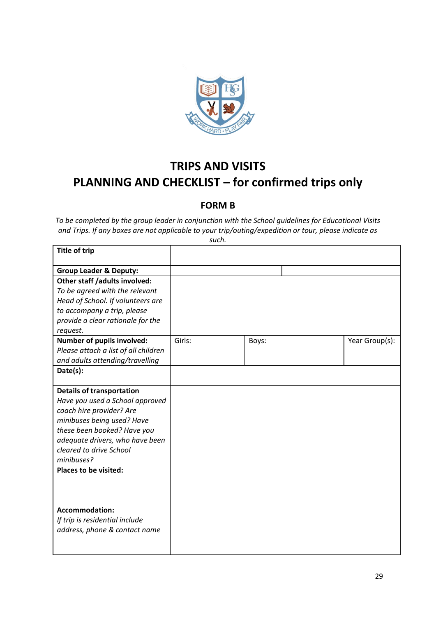

# **TRIPS AND VISITS PLANNING AND CHECKLIST – for confirmed trips only**

# **FORM B**

*To be completed by the group leader in conjunction with the School guidelines for Educational Visits and Trips. If any boxes are not applicable to your trip/outing/expedition or tour, please indicate as such.*

| <b>Title of trip</b>                                                                                                                                                                                                                                                                                      |        |       |                |
|-----------------------------------------------------------------------------------------------------------------------------------------------------------------------------------------------------------------------------------------------------------------------------------------------------------|--------|-------|----------------|
| <b>Group Leader &amp; Deputy:</b>                                                                                                                                                                                                                                                                         |        |       |                |
| Other staff /adults involved:<br>To be agreed with the relevant<br>Head of School. If volunteers are<br>to accompany a trip, please<br>provide a clear rationale for the<br>request.<br>Number of pupils involved:<br>Please attach a list of all children<br>and adults attending/travelling<br>Date(s): | Girls: | Boys: | Year Group(s): |
| <b>Details of transportation</b><br>Have you used a School approved<br>coach hire provider? Are<br>minibuses being used? Have<br>these been booked? Have you<br>adequate drivers, who have been<br>cleared to drive School<br>minibuses?                                                                  |        |       |                |
| <b>Places to be visited:</b>                                                                                                                                                                                                                                                                              |        |       |                |
| <b>Accommodation:</b><br>If trip is residential include<br>address, phone & contact name                                                                                                                                                                                                                  |        |       |                |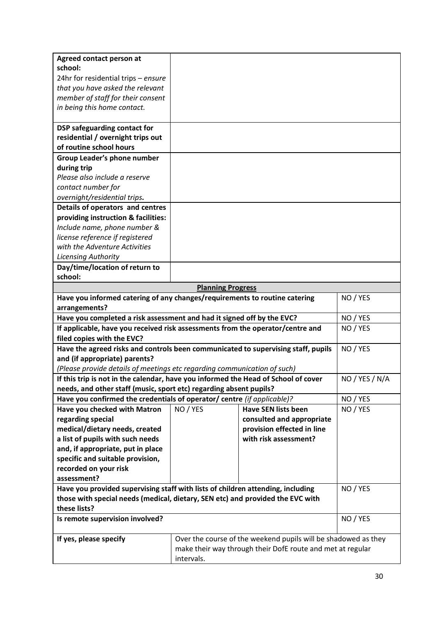| Agreed contact person at                                                                    |                                                                |                            |                |
|---------------------------------------------------------------------------------------------|----------------------------------------------------------------|----------------------------|----------------|
| school:                                                                                     |                                                                |                            |                |
| 24hr for residential trips - ensure                                                         |                                                                |                            |                |
| that you have asked the relevant                                                            |                                                                |                            |                |
| member of staff for their consent                                                           |                                                                |                            |                |
| in being this home contact.                                                                 |                                                                |                            |                |
| DSP safeguarding contact for                                                                |                                                                |                            |                |
| residential / overnight trips out                                                           |                                                                |                            |                |
| of routine school hours                                                                     |                                                                |                            |                |
| Group Leader's phone number                                                                 |                                                                |                            |                |
| during trip                                                                                 |                                                                |                            |                |
| Please also include a reserve                                                               |                                                                |                            |                |
| contact number for                                                                          |                                                                |                            |                |
| overnight/residential trips.                                                                |                                                                |                            |                |
| Details of operators and centres                                                            |                                                                |                            |                |
| providing instruction & facilities:                                                         |                                                                |                            |                |
| Include name, phone number &                                                                |                                                                |                            |                |
| license reference if registered                                                             |                                                                |                            |                |
| with the Adventure Activities                                                               |                                                                |                            |                |
| Licensing Authority                                                                         |                                                                |                            |                |
| Day/time/location of return to                                                              |                                                                |                            |                |
| school:                                                                                     |                                                                |                            |                |
|                                                                                             | <b>Planning Progress</b>                                       |                            |                |
| Have you informed catering of any changes/requirements to routine catering                  | NO / YES                                                       |                            |                |
| arrangements?                                                                               |                                                                |                            |                |
| Have you completed a risk assessment and had it signed off by the EVC?                      |                                                                |                            | NO / YES       |
| If applicable, have you received risk assessments from the operator/centre and              |                                                                |                            | NO / YES       |
| filed copies with the EVC?                                                                  |                                                                |                            |                |
| Have the agreed risks and controls been communicated to supervising staff, pupils           |                                                                |                            | NO / YES       |
| and (if appropriate) parents?                                                               |                                                                |                            |                |
| (Please provide details of meetings etc regarding communication of such)                    |                                                                |                            |                |
| If this trip is not in the calendar, have you informed the Head of School of cover          |                                                                |                            | NO / YES / N/A |
| needs, and other staff (music, sport etc) regarding absent pupils?                          |                                                                |                            |                |
| Have you confirmed the credentials of operator/ centre (if applicable)?                     |                                                                |                            | NO / YES       |
| Have you checked with Matron                                                                | NO / YES                                                       | <b>Have SEN lists been</b> | NO / YES       |
| regarding special                                                                           |                                                                | consulted and appropriate  |                |
| medical/dietary needs, created                                                              |                                                                | provision effected in line |                |
| a list of pupils with such needs                                                            |                                                                | with risk assessment?      |                |
| and, if appropriate, put in place                                                           |                                                                |                            |                |
| specific and suitable provision,                                                            |                                                                |                            |                |
| recorded on your risk                                                                       |                                                                |                            |                |
| assessment?                                                                                 |                                                                |                            |                |
| Have you provided supervising staff with lists of children attending, including<br>NO / YES |                                                                |                            |                |
| those with special needs (medical, dietary, SEN etc) and provided the EVC with              |                                                                |                            |                |
| these lists?<br>NO / YES                                                                    |                                                                |                            |                |
| Is remote supervision involved?                                                             |                                                                |                            |                |
| If yes, please specify                                                                      | Over the course of the weekend pupils will be shadowed as they |                            |                |
|                                                                                             | make their way through their DofE route and met at regular     |                            |                |
|                                                                                             | intervals.                                                     |                            |                |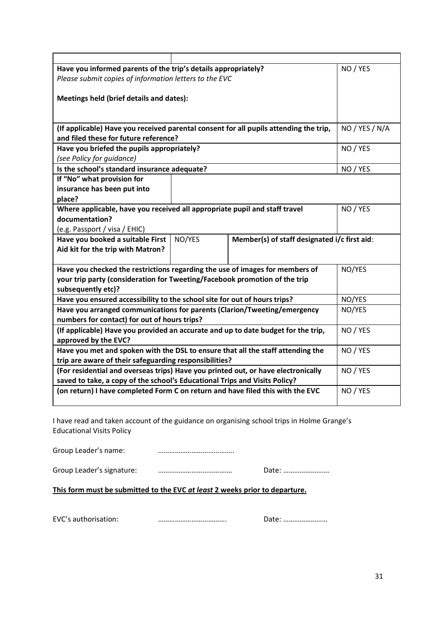| Have you informed parents of the trip's details appropriately?                                                                 |  |  | NO / YES       |
|--------------------------------------------------------------------------------------------------------------------------------|--|--|----------------|
| Please submit copies of information letters to the EVC                                                                         |  |  |                |
|                                                                                                                                |  |  |                |
| Meetings held (brief details and dates):                                                                                       |  |  |                |
|                                                                                                                                |  |  |                |
|                                                                                                                                |  |  |                |
| (If applicable) Have you received parental consent for all pupils attending the trip,<br>and filed these for future reference? |  |  | NO / YES / N/A |
| Have you briefed the pupils appropriately?                                                                                     |  |  | NO / YES       |
| (see Policy for guidance)                                                                                                      |  |  |                |
| Is the school's standard insurance adequate?                                                                                   |  |  | NO / YES       |
| If "No" what provision for                                                                                                     |  |  |                |
| insurance has been put into                                                                                                    |  |  |                |
| place?                                                                                                                         |  |  |                |
| Where applicable, have you received all appropriate pupil and staff travel                                                     |  |  | NO / YES       |
| documentation?                                                                                                                 |  |  |                |
| (e.g. Passport / visa / EHIC)                                                                                                  |  |  |                |
| NO/YES<br>Have you booked a suitable First<br>Member(s) of staff designated i/c first aid:                                     |  |  |                |
| Aid kit for the trip with Matron?                                                                                              |  |  |                |
|                                                                                                                                |  |  |                |
| Have you checked the restrictions regarding the use of images for members of                                                   |  |  | NO/YES         |
| your trip party (consideration for Tweeting/Facebook promotion of the trip                                                     |  |  |                |
| subsequently etc)?                                                                                                             |  |  |                |
| Have you ensured accessibility to the school site for out of hours trips?                                                      |  |  | NO/YES         |
| Have you arranged communications for parents (Clarion/Tweeting/emergency                                                       |  |  | NO/YES         |
| numbers for contact) for out of hours trips?                                                                                   |  |  |                |
| (If applicable) Have you provided an accurate and up to date budget for the trip,                                              |  |  | NO / YES       |
| approved by the EVC?                                                                                                           |  |  |                |
| Have you met and spoken with the DSL to ensure that all the staff attending the                                                |  |  | NO / YES       |
| trip are aware of their safeguarding responsibilities?                                                                         |  |  |                |
| (For residential and overseas trips) Have you printed out, or have electronically                                              |  |  | NO / YES       |
| saved to take, a copy of the school's Educational Trips and Visits Policy?                                                     |  |  |                |
| (on return) I have completed Form C on return and have filed this with the EVC                                                 |  |  | NO / YES       |
|                                                                                                                                |  |  |                |

I have read and taken account of the guidance on organising school trips in Holme Grange's Educational Visits Policy

Group Leader's name: **with an accommunity contracts** 

Group Leader's signature: …………………………………. Date: …………………….

**This form must be submitted to the EVC** *at least* **2 weeks prior to departure.**

EVC's authorisation: ………………………………. Date: ……………………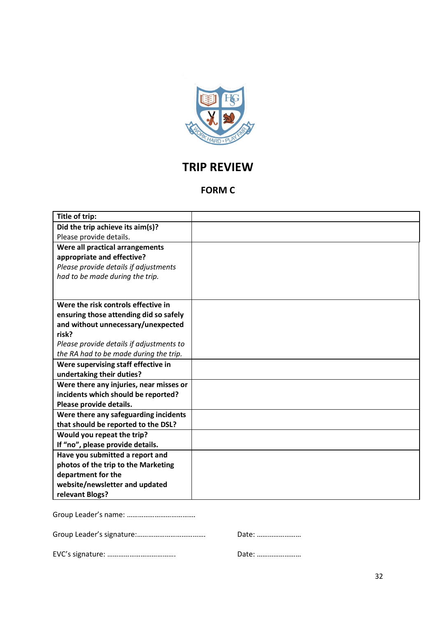

# **TRIP REVIEW**

# **FORM C**

| Title of trip:                           |  |
|------------------------------------------|--|
| Did the trip achieve its aim(s)?         |  |
| Please provide details.                  |  |
| Were all practical arrangements          |  |
| appropriate and effective?               |  |
| Please provide details if adjustments    |  |
| had to be made during the trip.          |  |
|                                          |  |
| Were the risk controls effective in      |  |
| ensuring those attending did so safely   |  |
| and without unnecessary/unexpected       |  |
| risk?                                    |  |
| Please provide details if adjustments to |  |
| the RA had to be made during the trip.   |  |
| Were supervising staff effective in      |  |
| undertaking their duties?                |  |
| Were there any injuries, near misses or  |  |
| incidents which should be reported?      |  |
| Please provide details.                  |  |
| Were there any safeguarding incidents    |  |
| that should be reported to the DSL?      |  |
| Would you repeat the trip?               |  |
| If "no", please provide details.         |  |
| Have you submitted a report and          |  |
| photos of the trip to the Marketing      |  |
| department for the                       |  |
| website/newsletter and updated           |  |
| relevant Blogs?                          |  |

Group Leader's name: ……………………………….

|--|--|

Date: ……………………

EVC's signature: ………………………………. Date: ……………………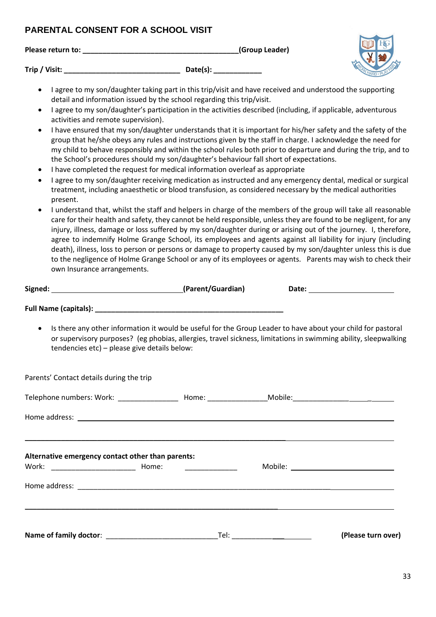# **PARENTAL CONSENT FOR A SCHOOL VISIT**

| Please return to: | (Group Leader) |
|-------------------|----------------|
|                   |                |

**Trip / Visit:**  $\rule{1em}{0.15mm}$  **Date(s):**  $\rule{1em}{0.15mm}$  **Date(s):** 

- I agree to my son/daughter taking part in this trip/visit and have received and understood the supporting detail and information issued by the school regarding this trip/visit.
- I agree to my son/daughter's participation in the activities described (including, if applicable, adventurous activities and remote supervision).
- I have ensured that my son/daughter understands that it is important for his/her safety and the safety of the group that he/she obeys any rules and instructions given by the staff in charge. I acknowledge the need for my child to behave responsibly and within the school rules both prior to departure and during the trip, and to the School's procedures should my son/daughter's behaviour fall short of expectations.
- I have completed the request for medical information overleaf as appropriate
- I agree to my son/daughter receiving medication as instructed and any emergency dental, medical or surgical treatment, including anaesthetic or blood transfusion, as considered necessary by the medical authorities present.
- I understand that, whilst the staff and helpers in charge of the members of the group will take all reasonable care for their health and safety, they cannot be held responsible, unless they are found to be negligent, for any injury, illness, damage or loss suffered by my son/daughter during or arising out of the journey. I, therefore, agree to indemnify Holme Grange School, its employees and agents against all liability for injury (including death), illness, loss to person or persons or damage to property caused by my son/daughter unless this is due to the negligence of Holme Grange School or any of its employees or agents. Parents may wish to check their own Insurance arrangements.

|                                                           |      | Date: <u>_______________________</u>                                                                                                                                                                                            |
|-----------------------------------------------------------|------|---------------------------------------------------------------------------------------------------------------------------------------------------------------------------------------------------------------------------------|
|                                                           |      |                                                                                                                                                                                                                                 |
| $\bullet$<br>tendencies etc) - please give details below: |      | Is there any other information it would be useful for the Group Leader to have about your child for pastoral<br>or supervisory purposes? (eg phobias, allergies, travel sickness, limitations in swimming ability, sleepwalking |
| Parents' Contact details during the trip                  |      |                                                                                                                                                                                                                                 |
|                                                           |      |                                                                                                                                                                                                                                 |
|                                                           |      |                                                                                                                                                                                                                                 |
| Alternative emergency contact other than parents:         |      |                                                                                                                                                                                                                                 |
|                                                           |      |                                                                                                                                                                                                                                 |
|                                                           |      |                                                                                                                                                                                                                                 |
| Name of family doctor:                                    | Tel: | (Please turn over)                                                                                                                                                                                                              |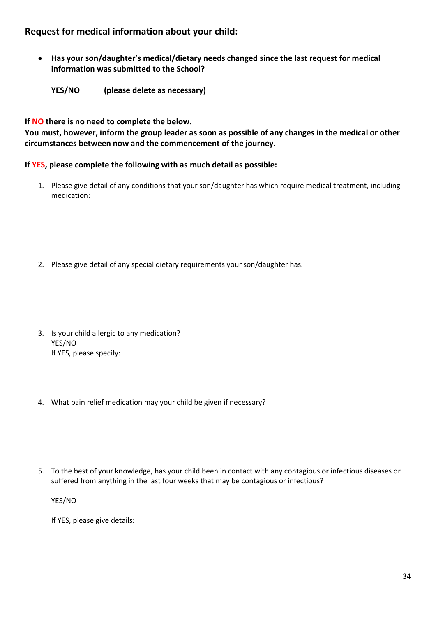# **Request for medical information about your child:**

- **Has your son/daughter's medical/dietary needs changed since the last request for medical information was submitted to the School?** 
	- **YES/NO (please delete as necessary)**

**If NO there is no need to complete the below.**

**You must, however, inform the group leader as soon as possible of any changes in the medical or other circumstances between now and the commencement of the journey.** 

## **If YES, please complete the following with as much detail as possible:**

- 1. Please give detail of any conditions that your son/daughter has which require medical treatment, including medication:
- 2. Please give detail of any special dietary requirements your son/daughter has.
- 3. Is your child allergic to any medication? YES/NO If YES, please specify:
- 4. What pain relief medication may your child be given if necessary?
- 5. To the best of your knowledge, has your child been in contact with any contagious or infectious diseases or suffered from anything in the last four weeks that may be contagious or infectious?

YES/NO

If YES, please give details: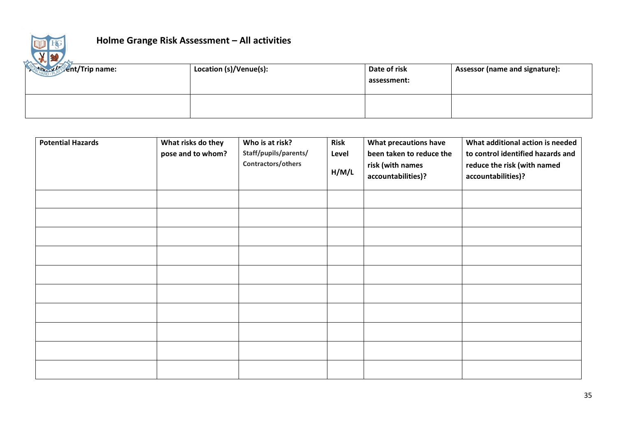

# **Holme Grange Risk Assessment – All activities**

| <b>Contract of Sent/Trip name:</b> | Location (s)/Venue(s): | Date of risk<br>assessment: | Assessor (name and signature): |
|------------------------------------|------------------------|-----------------------------|--------------------------------|
|                                    |                        |                             |                                |

| <b>Potential Hazards</b> | What risks do they<br>pose and to whom? | Who is at risk?<br>Staff/pupils/parents/<br>Contractors/others | <b>Risk</b><br>Level<br>H/M/L | What precautions have<br>been taken to reduce the<br>risk (with names<br>accountabilities)? | What additional action is needed<br>to control identified hazards and<br>reduce the risk (with named<br>accountabilities)? |
|--------------------------|-----------------------------------------|----------------------------------------------------------------|-------------------------------|---------------------------------------------------------------------------------------------|----------------------------------------------------------------------------------------------------------------------------|
|                          |                                         |                                                                |                               |                                                                                             |                                                                                                                            |
|                          |                                         |                                                                |                               |                                                                                             |                                                                                                                            |
|                          |                                         |                                                                |                               |                                                                                             |                                                                                                                            |
|                          |                                         |                                                                |                               |                                                                                             |                                                                                                                            |
|                          |                                         |                                                                |                               |                                                                                             |                                                                                                                            |
|                          |                                         |                                                                |                               |                                                                                             |                                                                                                                            |
|                          |                                         |                                                                |                               |                                                                                             |                                                                                                                            |
|                          |                                         |                                                                |                               |                                                                                             |                                                                                                                            |
|                          |                                         |                                                                |                               |                                                                                             |                                                                                                                            |
|                          |                                         |                                                                |                               |                                                                                             |                                                                                                                            |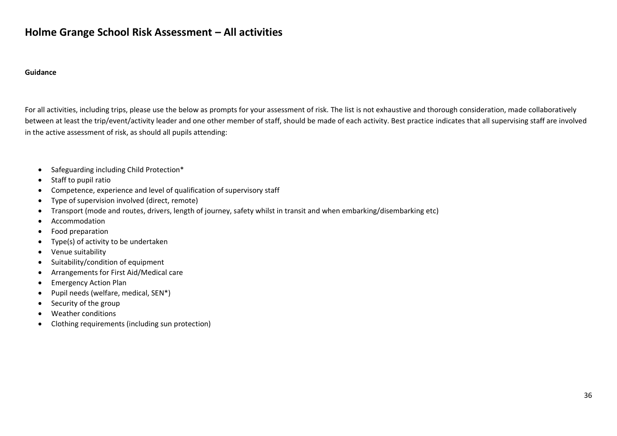# **Holme Grange School Risk Assessment – All activities**

#### **Guidance**

For all activities, including trips, please use the below as prompts for your assessment of risk. The list is not exhaustive and thorough consideration, made collaboratively between at least the trip/event/activity leader and one other member of staff, should be made of each activity. Best practice indicates that all supervising staff are involved in the active assessment of risk, as should all pupils attending:

- Safeguarding including Child Protection\*
- Staff to pupil ratio
- Competence, experience and level of qualification of supervisory staff
- Type of supervision involved (direct, remote)
- Transport (mode and routes, drivers, length of journey, safety whilst in transit and when embarking/disembarking etc)
- Accommodation
- Food preparation
- Type(s) of activity to be undertaken
- Venue suitability
- Suitability/condition of equipment
- Arrangements for First Aid/Medical care
- Emergency Action Plan
- Pupil needs (welfare, medical, SEN\*)
- Security of the group
- Weather conditions
- Clothing requirements (including sun protection)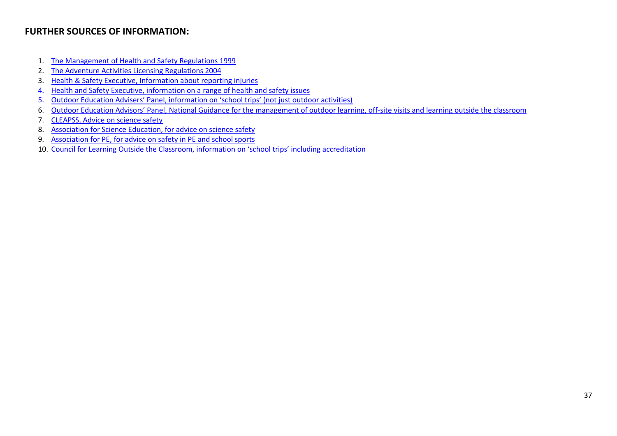# **FURTHER SOURCES OF INFORMATION:**

- 1. [The Management of Health and Safety Regulations 1999](http://www.legislation.gov.uk/uksi/1999/3242/contents/made)
- 2. [The Adventure Activities Licensing Regulations 2004](http://www.legislation.gov.uk/uksi/2004/1309/contents/made)
- 3. [Health & Safety Executive, Information about reporting injuries](http://www.hse.gov.uk/riddor/index.htm)
- 4. [Health and Safety Executive, information on a range of health and safety issues](http://www.hse.gov.uk/riddor/index.htm)
- 5. [Outdoor Education Advisers' Panel, information on 'school trips' \(not just outdoor activities\)](http://www.oeap.info/)
- 6. [Outdoor Education Advisors' Panel, National Guidance for the management of outdoor lea](http://oeapng.info/)rning, off-site visits and learning outside the classroom
- 7. [CLEAPSS, Advice on science safety](http://www.cleapss.org.uk/)
- 8. [Association for Science Education, for advice on science safety](http://www.ase.org.uk/home/)
- 9. [Association for PE, for advice on safety in PE and school sports](http://www.afpe.org.uk/)
- 10. [Council for Learning Outside the Classroom, information on 'school trips' including accreditation](http://lotcqualitybadge.org.uk/)